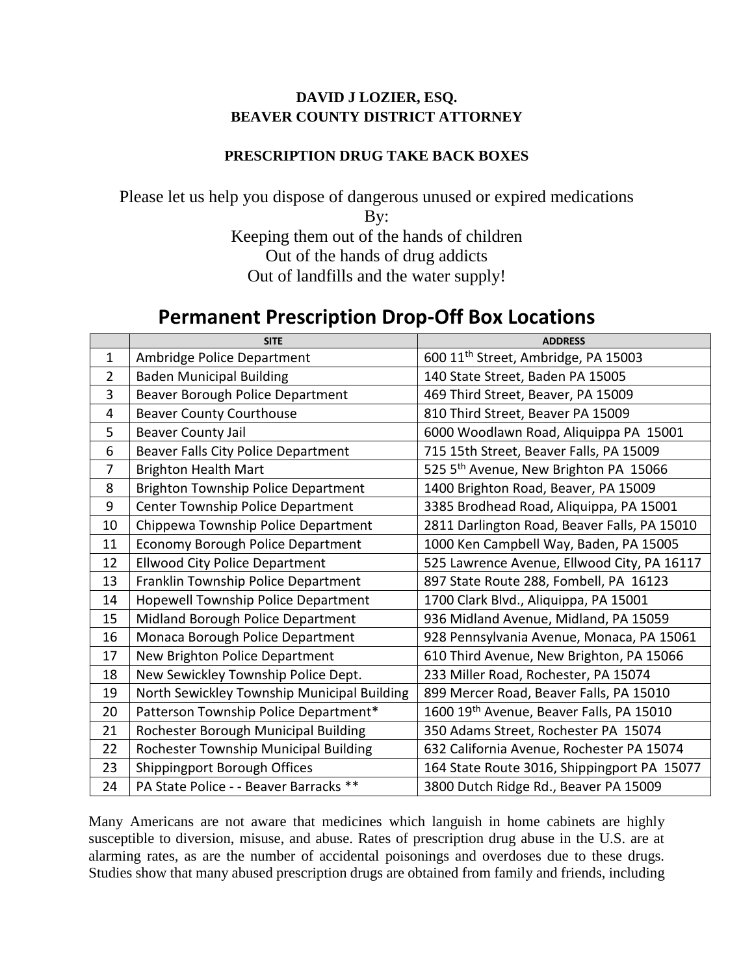## **DAVID J LOZIER, ESQ. BEAVER COUNTY DISTRICT ATTORNEY**

## **PRESCRIPTION DRUG TAKE BACK BOXES**

Please let us help you dispose of dangerous unused or expired medications By: Keeping them out of the hands of children Out of the hands of drug addicts Out of landfills and the water supply!

## **Permanent Prescription Drop-Off Box Locations**

|                | <b>SITE</b>                                 | <b>ADDRESS</b>                                       |
|----------------|---------------------------------------------|------------------------------------------------------|
| $\mathbf{1}$   | Ambridge Police Department                  | 600 11 <sup>th</sup> Street, Ambridge, PA 15003      |
| $\overline{2}$ | <b>Baden Municipal Building</b>             | 140 State Street, Baden PA 15005                     |
| 3              | Beaver Borough Police Department            | 469 Third Street, Beaver, PA 15009                   |
| 4              | <b>Beaver County Courthouse</b>             | 810 Third Street, Beaver PA 15009                    |
| 5              | <b>Beaver County Jail</b>                   | 6000 Woodlawn Road, Aliquippa PA 15001               |
| 6              | <b>Beaver Falls City Police Department</b>  | 715 15th Street, Beaver Falls, PA 15009              |
| $\overline{7}$ | <b>Brighton Health Mart</b>                 | 525 5 <sup>th</sup> Avenue, New Brighton PA 15066    |
| 8              | <b>Brighton Township Police Department</b>  | 1400 Brighton Road, Beaver, PA 15009                 |
| 9              | Center Township Police Department           | 3385 Brodhead Road, Aliquippa, PA 15001              |
| 10             | Chippewa Township Police Department         | 2811 Darlington Road, Beaver Falls, PA 15010         |
| 11             | <b>Economy Borough Police Department</b>    | 1000 Ken Campbell Way, Baden, PA 15005               |
| 12             | <b>Ellwood City Police Department</b>       | 525 Lawrence Avenue, Ellwood City, PA 16117          |
| 13             | Franklin Township Police Department         | 897 State Route 288, Fombell, PA 16123               |
| 14             | Hopewell Township Police Department         | 1700 Clark Blvd., Aliquippa, PA 15001                |
| 15             | Midland Borough Police Department           | 936 Midland Avenue, Midland, PA 15059                |
| 16             | Monaca Borough Police Department            | 928 Pennsylvania Avenue, Monaca, PA 15061            |
| 17             | New Brighton Police Department              | 610 Third Avenue, New Brighton, PA 15066             |
| 18             | New Sewickley Township Police Dept.         | 233 Miller Road, Rochester, PA 15074                 |
| 19             | North Sewickley Township Municipal Building | 899 Mercer Road, Beaver Falls, PA 15010              |
| 20             | Patterson Township Police Department*       | 1600 19 <sup>th</sup> Avenue, Beaver Falls, PA 15010 |
| 21             | Rochester Borough Municipal Building        | 350 Adams Street, Rochester PA 15074                 |
| 22             | Rochester Township Municipal Building       | 632 California Avenue, Rochester PA 15074            |
| 23             | Shippingport Borough Offices                | 164 State Route 3016, Shippingport PA 15077          |
| 24             | PA State Police - - Beaver Barracks **      | 3800 Dutch Ridge Rd., Beaver PA 15009                |

Many Americans are not aware that medicines which languish in home cabinets are highly susceptible to diversion, misuse, and abuse. Rates of prescription drug abuse in the U.S. are at alarming rates, as are the number of accidental poisonings and overdoses due to these drugs. Studies show that many abused prescription drugs are obtained from family and friends, including